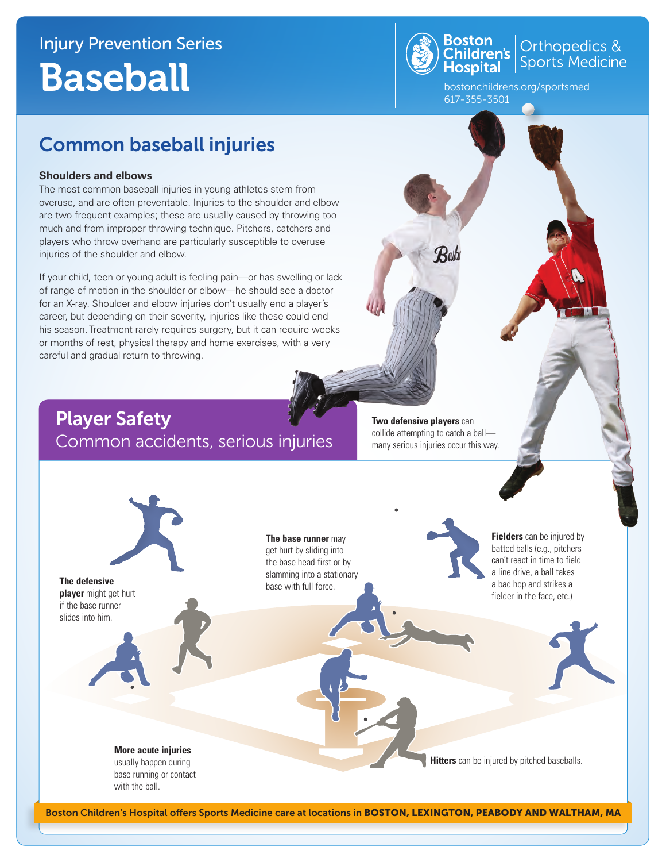## Injury Prevention Series Baseball



Orthopedics & Sports Medicine

bostonchildrens.org/sportsmed 617-355-3501

## Common baseball injuries

#### **Shoulders and elbows**

The most common baseball injuries in young athletes stem from overuse, and are often preventable. Injuries to the shoulder and elbow are two frequent examples; these are usually caused by throwing too much and from improper throwing technique. Pitchers, catchers and players who throw overhand are particularly susceptible to overuse injuries of the shoulder and elbow.

If your child, teen or young adult is feeling pain—or has swelling or lack of range of motion in the shoulder or elbow—he should see a doctor for an X-ray. Shoulder and elbow injuries don't usually end a player's career, but depending on their severity, injuries like these could end his season. Treatment rarely requires surgery, but it can require weeks or months of rest, physical therapy and home exercises, with a very careful and gradual return to throwing.

### Player Safety Common accidents, serious injuries

**Two defensive players** can collide attempting to catch a ball many serious injuries occur this way.



**The base runner** may get hurt by sliding into the base head-first or by slamming into a stationary base with full force.

**Fielders** can be injured by batted balls (e.g., pitchers can't react in time to field a line drive, a ball takes a bad hop and strikes a fielder in the face, etc.)

**Hitters** can be injured by pitched baseballs.

usually happen during base running or contact with the ball.

**More acute injuries**

Boston Children's Hospital offers Sports Medicine care at locations in BOSTON, LEXINGTON, PEABODY AND WALTHAM, MA